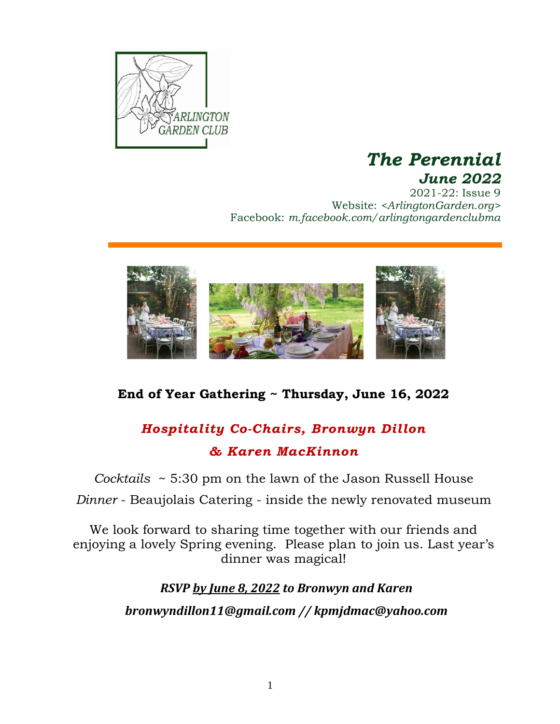

## *The Perennial June 2022*

2021-22: Issue 9 Website: *<ArlingtonGarden.org>* Facebook: *m.facebook.com/arlingtongardenclubma*



### **End of Year Gathering ~ Thursday, June 16, 2022**

# *Hospitality Co-Chairs, Bronwyn Dillon & Karen MacKinnon*

*Cocktails* ~ 5:30 pm on the lawn of the Jason Russell House

*Dinner* - Beaujolais Catering - inside the newly renovated museum

We look forward to sharing time together with our friends and enjoying a lovely Spring evening. Please plan to join us. Last year's dinner was magical!

*RSVP by June 8, 2022 to Bronwyn and Karen*

*[bronwyndillon11@gmail.com](mailto:bronwyndillon11@gmail.com) // kpmjdmac@yahoo.com*